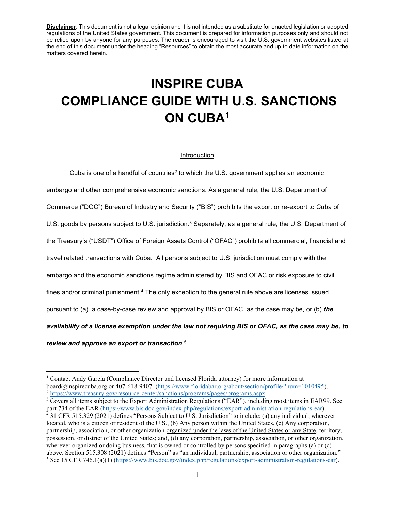# **INSPIRE CUBA COMPLIANCE GUIDE WITH U.S. SANCTIONS ON CUBA1**

#### Introduction

Cuba is one of a handful of countries<sup>2</sup> to which the U.S. government applies an economic embargo and other comprehensive economic sanctions. As a general rule, the U.S. Department of Commerce ("DOC") Bureau of Industry and Security ("BIS") prohibits the export or re-export to Cuba of U.S. goods by persons subject to U.S. jurisdiction.<sup>3</sup> Separately, as a general rule, the U.S. Department of the Treasury's ("USDT") Office of Foreign Assets Control ("OFAC") prohibits all commercial, financial and travel related transactions with Cuba. All persons subject to U.S. jurisdiction must comply with the embargo and the economic sanctions regime administered by BIS and OFAC or risk exposure to civil fines and/or criminal punishment.<sup>4</sup> The only exception to the general rule above are licenses issued pursuant to (a) a case-by-case review and approval by BIS or OFAC, as the case may be, or (b) *the availability of a license exemption under the law not requiring BIS or OFAC, as the case may be, to review and approve an export or transaction*. 5

<sup>1</sup> Contact Andy Garcia (Compliance Director and licensed Florida attorney) for more information at board@inspirecuba.org or 407-618-9407. (https://www.floridabar.org/about/section/profile/?num=1010495).<br>
<sup>2</sup> https://www.treasury.gov/resource-center/sanctions/programs/pages/programs.aspx.<br>
<sup>3</sup> Covers all items subject to

part 734 of the EAR (https://www.bis.doc.gov/index.php/regulations/export-administration-regulations-ear).  $4$  31 CFR 515.329 (2021) defines "Persons Subject to U.S. Jurisdiction" to include: (a) any individual, wherever located, who is a citizen or resident of the U.S., (b) Any person within the United States, (c) Any corporation, partnership, association, or other organization organized under the laws of the United States or any State, territory, possession, or district of the United States; and, (d) any corporation, partnership, association, or other organization, wherever organized or doing business, that is owned or controlled by persons specified in paragraphs (a) or (c) above. Section 515.308 (2021) defines "Person" as "an individual, partnership, association or other organization." <sup>5</sup> See 15 CFR 746.1(a)(1) (https://www.bis.doc.gov/index.php/regulations/export-administration-regulations-ear).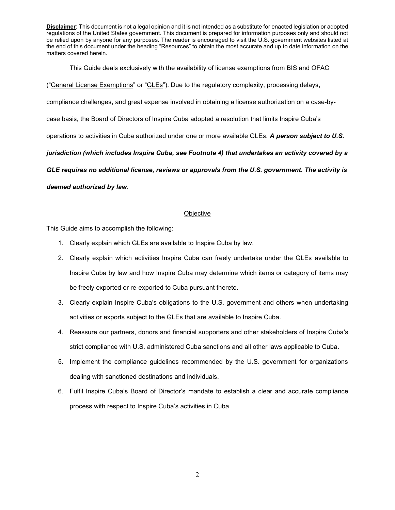This Guide deals exclusively with the availability of license exemptions from BIS and OFAC

("General License Exemptions" or "GLEs"). Due to the regulatory complexity, processing delays,

compliance challenges, and great expense involved in obtaining a license authorization on a case-by-

case basis, the Board of Directors of Inspire Cuba adopted a resolution that limits Inspire Cuba's

operations to activities in Cuba authorized under one or more available GLEs. *A person subject to U.S.* 

*jurisdiction (which includes Inspire Cuba, see Footnote 4) that undertakes an activity covered by a* 

*GLE requires no additional license, reviews or approvals from the U.S. government. The activity is* 

#### *deemed authorized by law*.

#### **Objective**

This Guide aims to accomplish the following:

- 1. Clearly explain which GLEs are available to Inspire Cuba by law.
- 2. Clearly explain which activities Inspire Cuba can freely undertake under the GLEs available to Inspire Cuba by law and how Inspire Cuba may determine which items or category of items may be freely exported or re-exported to Cuba pursuant thereto.
- 3. Clearly explain Inspire Cuba's obligations to the U.S. government and others when undertaking activities or exports subject to the GLEs that are available to Inspire Cuba.
- 4. Reassure our partners, donors and financial supporters and other stakeholders of Inspire Cuba's strict compliance with U.S. administered Cuba sanctions and all other laws applicable to Cuba.
- 5. Implement the compliance guidelines recommended by the U.S. government for organizations dealing with sanctioned destinations and individuals.
- 6. Fulfil Inspire Cuba's Board of Director's mandate to establish a clear and accurate compliance process with respect to Inspire Cuba's activities in Cuba.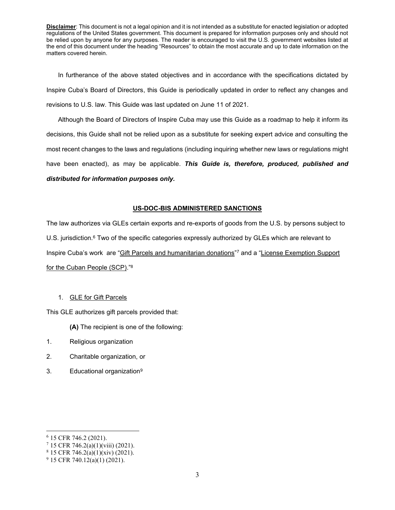In furtherance of the above stated objectives and in accordance with the specifications dictated by Inspire Cuba's Board of Directors, this Guide is periodically updated in order to reflect any changes and revisions to U.S. law. This Guide was last updated on June 11 of 2021.

Although the Board of Directors of Inspire Cuba may use this Guide as a roadmap to help it inform its decisions, this Guide shall not be relied upon as a substitute for seeking expert advice and consulting the most recent changes to the laws and regulations (including inquiring whether new laws or regulations might have been enacted), as may be applicable. *This Guide is, therefore, produced, published and distributed for information purposes only.* 

### **US-DOC-BIS ADMINISTERED SANCTIONS**

The law authorizes via GLEs certain exports and re-exports of goods from the U.S. by persons subject to U.S. jurisdiction.<sup>6</sup> Two of the specific categories expressly authorized by GLEs which are relevant to Inspire Cuba's work are "Gift Parcels and humanitarian donations"7 and a "License Exemption Support for the Cuban People (SCP)."<sup>8</sup>

#### 1. GLE for Gift Parcels

This GLE authorizes gift parcels provided that:

- **(A)** The recipient is one of the following:
- 1. Religious organization
- 2. Charitable organization, or
- 3. Educational organization9

<sup>6</sup> 15 CFR 746.2 (2021).

<sup>7</sup> 15 CFR 746.2(a)(1)(viii) (2021).

 $8$  15 CFR 746.2(a)(1)(xiv) (2021).

<sup>9</sup> 15 CFR 740.12(a)(1) (2021).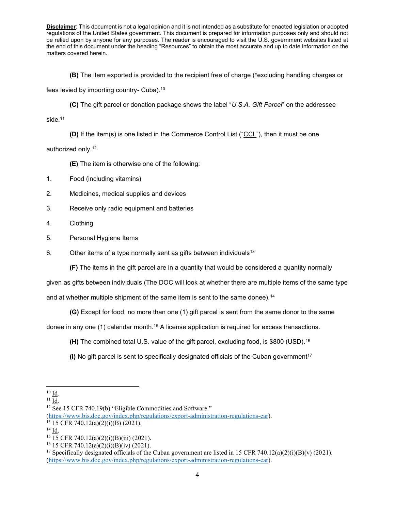**(B)** The item exported is provided to the recipient free of charge (\*excluding handling charges or

fees levied by importing country- Cuba).<sup>10</sup>

**(C)** The gift parcel or donation package shows the label *"U.S.A. Gift Parcel*" on the addressee

side. 11

**(D)** If the item(s) is one listed in the Commerce Control List ("CCL"), then it must be one

authorized only. 12

**(E)** The item is otherwise one of the following:

- 1. Food (including vitamins)
- 2. Medicines, medical supplies and devices
- 3. Receive only radio equipment and batteries
- 4. Clothing
- 5. Personal Hygiene Items
- 6. Other items of a type normally sent as gifts between individuals<sup>13</sup>

**(F)** The items in the gift parcel are in a quantity that would be considered a quantity normally

given as gifts between individuals (The DOC will look at whether there are multiple items of the same type

and at whether multiple shipment of the same item is sent to the same donee).<sup>14</sup>

**(G)** Except for food, no more than one (1) gift parcel is sent from the same donor to the same

donee in any one (1) calendar month.15 A license application is required for excess transactions.

**(H)** The combined total U.S. value of the gift parcel, excluding food, is \$800 (USD).16

**(I)** No gift parcel is sent to specifically designated officials of the Cuban government17

<sup>10</sup> Id.

 $11 \underline{Id}$ .

 $12$  See 15 CFR 740.19(b) "Eligible Commodities and Software."

<sup>(</sup>https://www.bis.doc.gov/index.php/regulations/export-administration-regulations-ear).<br><sup>13</sup> 15 CFR 740.12(a)(2)(i)(B) (2021).

<sup>14</sup> Id.

<sup>&</sup>lt;sup>15</sup> 15 CFR 740.12(a)(2)(i)(B)(iii) (2021).

<sup>&</sup>lt;sup>16</sup> 15 CFR 740.12(a)(2)(i)(B)(iv) (2021).

<sup>&</sup>lt;sup>17</sup> Specifically designated officials of the Cuban government are listed in 15 CFR 740.12(a)(2)(i)(B)(v) (2021). (https://www.bis.doc.gov/index.php/regulations/export-administration-regulations-ear).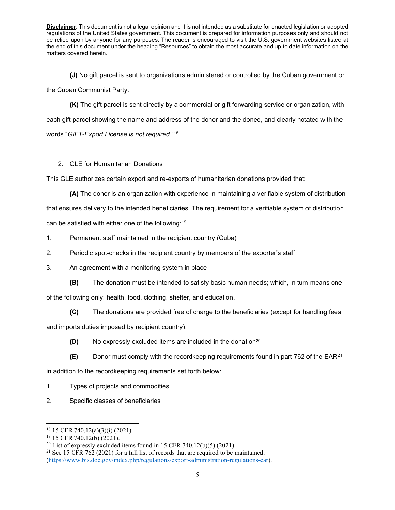**(J)** No gift parcel is sent to organizations administered or controlled by the Cuban government or the Cuban Communist Party.

**(K)** The gift parcel is sent directly by a commercial or gift forwarding service or organization, with each gift parcel showing the name and address of the donor and the donee, and clearly notated with the words "GIFT-Export License is not required."<sup>18</sup>

# 2. GLE for Humanitarian Donations

This GLE authorizes certain export and re-exports of humanitarian donations provided that:

- **(A)** The donor is an organization with experience in maintaining a verifiable system of distribution that ensures delivery to the intended beneficiaries. The requirement for a verifiable system of distribution can be satisfied with either one of the following:19
- 1. Permanent staff maintained in the recipient country (Cuba)
- 2. Periodic spot-checks in the recipient country by members of the exporter's staff
- 3. An agreement with a monitoring system in place
- **(B)** The donation must be intended to satisfy basic human needs; which, in turn means one of the following only: health, food, clothing, shelter, and education.
	- **(C)** The donations are provided free of charge to the beneficiaries (except for handling fees

and imports duties imposed by recipient country).

- **(D)** No expressly excluded items are included in the donation<sup>20</sup>
- **(E)** Donor must comply with the recordkeeping requirements found in part 762 of the EAR21

in addition to the recordkeeping requirements set forth below:

- 1. Types of projects and commodities
- 2. Specific classes of beneficiaries

<sup>18</sup> 15 CFR 740.12(a)(3)(i) (2021).

<sup>19</sup> 15 CFR 740.12(b) (2021).

 $20$  List of expressly excluded items found in 15 CFR 740.12(b)(5) (2021).

<sup>&</sup>lt;sup>21</sup> See 15 CFR 762 (2021) for a full list of records that are required to be maintained. (https://www.bis.doc.gov/index.php/regulations/export-administration-regulations-ear).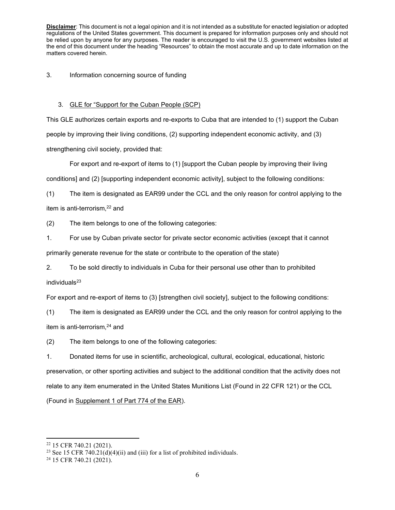3. Information concerning source of funding

## 3. GLE for "Support for the Cuban People (SCP)

This GLE authorizes certain exports and re-exports to Cuba that are intended to (1) support the Cuban people by improving their living conditions, (2) supporting independent economic activity, and (3) strengthening civil society, provided that:

For export and re-export of items to (1) [support the Cuban people by improving their living conditions] and (2) [supporting independent economic activity], subject to the following conditions:

(1) The item is designated as EAR99 under the CCL and the only reason for control applying to the item is anti-terrorism,<sup>22</sup> and

(2) The item belongs to one of the following categories:

1. For use by Cuban private sector for private sector economic activities (except that it cannot

primarily generate revenue for the state or contribute to the operation of the state)

2. To be sold directly to individuals in Cuba for their personal use other than to prohibited

 $individuals<sup>23</sup>$ 

For export and re-export of items to (3) [strengthen civil society], subject to the following conditions:

(1) The item is designated as EAR99 under the CCL and the only reason for control applying to the item is anti-terrorism,<sup>24</sup> and

(2) The item belongs to one of the following categories:

1. Donated items for use in scientific, archeological, cultural, ecological, educational, historic preservation, or other sporting activities and subject to the additional condition that the activity does not relate to any item enumerated in the United States Munitions List (Found in 22 CFR 121) or the CCL (Found in Supplement 1 of Part 774 of the EAR).

<sup>&</sup>lt;sup>22</sup> 15 CFR 740.21 (2021).<br><sup>23</sup> See 15 CFR 740.21(d)(4)(ii) and (iii) for a list of prohibited individuals.

<sup>24</sup> 15 CFR 740.21 (2021).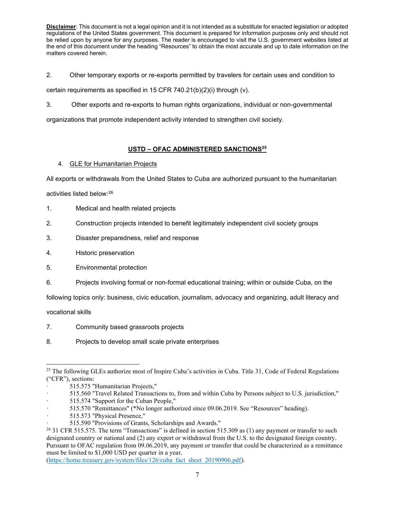2. Other temporary exports or re-exports permitted by travelers for certain uses and condition to

certain requirements as specified in 15 CFR 740.21(b)(2)(i) through (v).

3. Other exports and re-exports to human rights organizations, individual or non-governmental

organizations that promote independent activity intended to strengthen civil society.

# **USTD – OFAC ADMINISTERED SANCTIONS25**

# 4. GLE for Humanitarian Projects

All exports or withdrawals from the United States to Cuba are authorized pursuant to the humanitarian

activities listed below:26

- 1. Medical and health related projects
- 2. Construction projects intended to benefit legitimately independent civil society groups
- 3. Disaster preparedness, relief and response
- 4. Historic preservation
- 5. Environmental protection
- 6. Projects involving formal or non-formal educational training; within or outside Cuba, on the

following topics only: business, civic education, journalism, advocacy and organizing, adult literacy and

vocational skills

- 7. Community based grassroots projects
- 8. Projects to develop small scale private enterprises

· 515.560 "Travel Related Transactions to, from and within Cuba by Persons subject to U.S. jurisdiction,"

(https://home.treasury.gov/system/files/126/cuba\_fact\_sheet\_20190906.pdf).

<sup>&</sup>lt;sup>25</sup> The following GLEs authorize most of Inspire Cuba's activities in Cuba. Title 31, Code of Federal Regulations ("CFR"), sections:

<sup>·</sup> 515.575 "Humanitarian Projects,"

<sup>515.574 &</sup>quot;Support for the Cuban People,"

<sup>515.570 &</sup>quot;Remittances" (\*No longer authorized since 09.06.2019. See "Resources" heading).

<sup>·</sup> 515.573 "Physical Presence,"

<sup>·</sup> 515.590 "Provisions of Grants, Scholarships and Awards."

<sup>&</sup>lt;sup>26</sup> 31 CFR 515.575. The term "Transactions" is defined in section 515.309 as (1) any payment or transfer to such designated country or national and (2) any export or withdrawal from the U.S. to the designated foreign country. Pursuant to OFAC regulation from 09.06.2019, any payment or transfer that could be characterized as a remittance must be limited to \$1,000 USD per quarter in a year.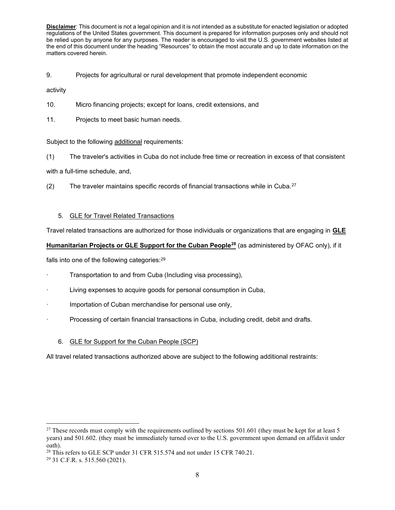9. Projects for agricultural or rural development that promote independent economic

activity

- 10. Micro financing projects; except for loans, credit extensions, and
- 11. Projects to meet basic human needs.

Subject to the following additional requirements:

(1) The traveler's activities in Cuba do not include free time or recreation in excess of that consistent

with a full-time schedule, and,

(2) The traveler maintains specific records of financial transactions while in Cuba. $27$ 

# 5. GLE for Travel Related Transactions

Travel related transactions are authorized for those individuals or organizations that are engaging in **GLE** 

# **Humanitarian Projects or GLE Support for the Cuban People28** (as administered by OFAC only), if it

falls into one of the following categories:<sup>29</sup>

- Transportation to and from Cuba (Including visa processing),
- Living expenses to acquire goods for personal consumption in Cuba,
- Importation of Cuban merchandise for personal use only,
- · Processing of certain financial transactions in Cuba, including credit, debit and drafts.
	- 6. GLE for Support for the Cuban People (SCP)

All travel related transactions authorized above are subject to the following additional restraints:

<sup>&</sup>lt;sup>27</sup> These records must comply with the requirements outlined by sections  $501.601$  (they must be kept for at least 5 years) and 501.602. (they must be immediately turned over to the U.S. government upon demand on affidavit under oath).<br><sup>28</sup> This refers to GLE SCP under 31 CFR 515.574 and not under 15 CFR 740.21.

<sup>29</sup> 31 C.F.R. s. 515.560 (2021).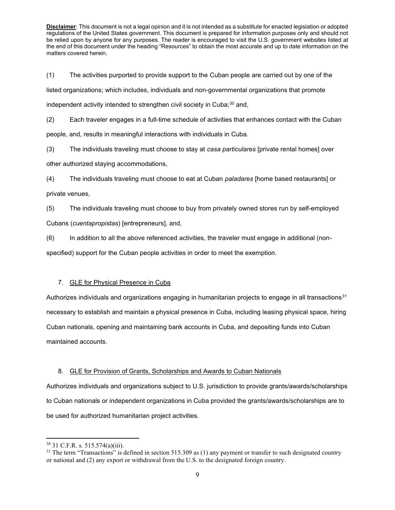(1) The activities purported to provide support to the Cuban people are carried out by one of the listed organizations; which includes, individuals and non-governmental organizations that promote independent activity intended to strengthen civil society in Cuba; $30$  and,

(2) Each traveler engages in a full-time schedule of activities that enhances contact with the Cuban people, and, results in meaningful interactions with individuals in Cuba.

(3) The individuals traveling must choose to stay at *casa particulares* [private rental homes] over

other authorized staying accommodations,

(4) The individuals traveling must choose to eat at Cuban *paladares* [home based restaurants] or private venues,

(5) The individuals traveling must choose to buy from privately owned stores run by self-employed Cubans (*cuentapropistas*) [entrepreneurs], and,

(6) In addition to all the above referenced activities, the traveler must engage in additional (non-

specified) support for the Cuban people activities in order to meet the exemption.

# 7. GLE for Physical Presence in Cuba

Authorizes individuals and organizations engaging in humanitarian projects to engage in all transactions<sup>31</sup> necessary to establish and maintain a physical presence in Cuba, including leasing physical space, hiring Cuban nationals, opening and maintaining bank accounts in Cuba, and depositing funds into Cuban maintained accounts.

# 8. GLE for Provision of Grants, Scholarships and Awards to Cuban Nationals

Authorizes individuals and organizations subject to U.S. jurisdiction to provide grants/awards/scholarships to Cuban nationals or independent organizations in Cuba provided the grants/awards/scholarships are to be used for authorized humanitarian project activities.

<sup>30</sup> 31 C.F.R. s. 515.574(a)(iii).

 $31$  The term "Transactions" is defined in section 515.309 as (1) any payment or transfer to such designated country or national and (2) any export or withdrawal from the U.S. to the designated foreign country.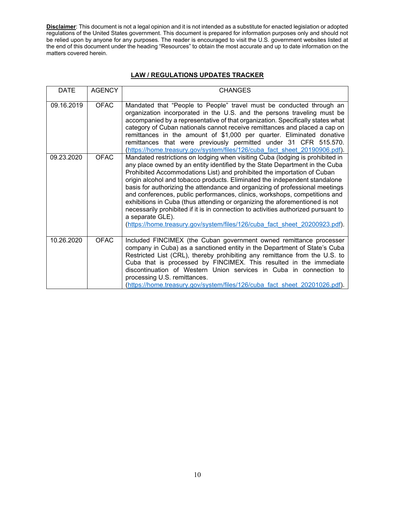# **LAW / REGULATIONS UPDATES TRACKER**

| <b>DATE</b> | <b>AGENCY</b> | <b>CHANGES</b>                                                                                                                                                                                                                                                                                                                                                                                                                                                                                                                                                                                                                                                                                                                                             |
|-------------|---------------|------------------------------------------------------------------------------------------------------------------------------------------------------------------------------------------------------------------------------------------------------------------------------------------------------------------------------------------------------------------------------------------------------------------------------------------------------------------------------------------------------------------------------------------------------------------------------------------------------------------------------------------------------------------------------------------------------------------------------------------------------------|
| 09.16.2019  | <b>OFAC</b>   | Mandated that "People to People" travel must be conducted through an<br>organization incorporated in the U.S. and the persons traveling must be<br>accompanied by a representative of that organization. Specifically states what<br>category of Cuban nationals cannot receive remittances and placed a cap on<br>remittances in the amount of \$1,000 per quarter. Eliminated donative<br>remittances that were previously permitted under 31 CFR 515.570.<br>(https://home.treasury.gov/system/files/126/cuba fact sheet 20190906.pdf).                                                                                                                                                                                                                 |
| 09.23.2020  | <b>OFAC</b>   | Mandated restrictions on lodging when visiting Cuba (lodging is prohibited in<br>any place owned by an entity identified by the State Department in the Cuba<br>Prohibited Accommodations List) and prohibited the importation of Cuban<br>origin alcohol and tobacco products. Eliminated the independent standalone<br>basis for authorizing the attendance and organizing of professional meetings<br>and conferences, public performances, clinics, workshops, competitions and<br>exhibitions in Cuba (thus attending or organizing the aforementioned is not<br>necessarily prohibited if it is in connection to activities authorized pursuant to<br>a separate GLE).<br>(https://home.treasury.gov/system/files/126/cuba fact sheet 20200923.pdf). |
| 10.26.2020  | <b>OFAC</b>   | Included FINCIMEX (the Cuban government owned remittance processer<br>company in Cuba) as a sanctioned entity in the Department of State's Cuba<br>Restricted List (CRL), thereby prohibiting any remittance from the U.S. to<br>Cuba that is processed by FINCIMEX. This resulted in the immediate<br>discontinuation of Western Union services in Cuba in connection to<br>processing U.S. remittances.<br>(https://home.treasury.gov/system/files/126/cuba fact sheet 20201026.pdf).                                                                                                                                                                                                                                                                    |